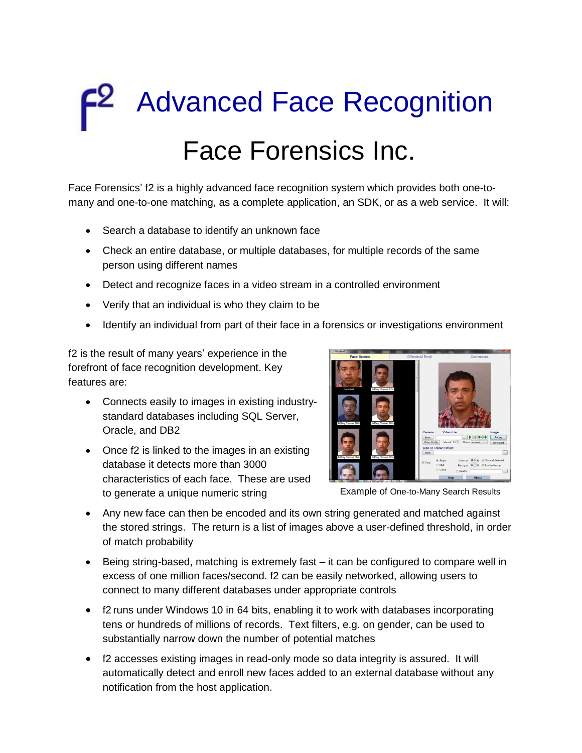# Advanced Face Recognition Face Forensics Inc.

Face Forensics' f2 is a highly advanced face recognition system which provides both one-tomany and one-to-one matching, as a complete application, an SDK, or as a web service. It will:

- Search a database to identify an unknown face
- Check an entire database, or multiple databases, for multiple records of the same person using different names
- Detect and recognize faces in a video stream in a controlled environment
- Verify that an individual is who they claim to be
- Identify an individual from part of their face in a forensics or investigations environment

f2 is the result of many years' experience in the forefront of face recognition development. Key features are:

- Connects easily to images in existing industrystandard databases including SQL Server, Oracle, and DB2
- Once f2 is linked to the images in an existing database it detects more than 3000 characteristics of each face. These are used to generate a unique numeric string



Example of One-to-Many Search Results

- Any new face can then be encoded and its own string generated and matched against the stored strings. The return is a list of images above a user-defined threshold, in order of match probability
- Being string-based, matching is extremely fast it can be configured to compare well in excess of one million faces/second. f2 can be easily networked, allowing users to connect to many different databases under appropriate controls
- f2 runs under Windows 10 in 64 bits, enabling it to work with databases incorporating tens or hundreds of millions of records. Text filters, e.g. on gender, can be used to substantially narrow down the number of potential matches
- f2 accesses existing images in read-only mode so data integrity is assured. It will automatically detect and enroll new faces added to an external database without any notification from the host application.